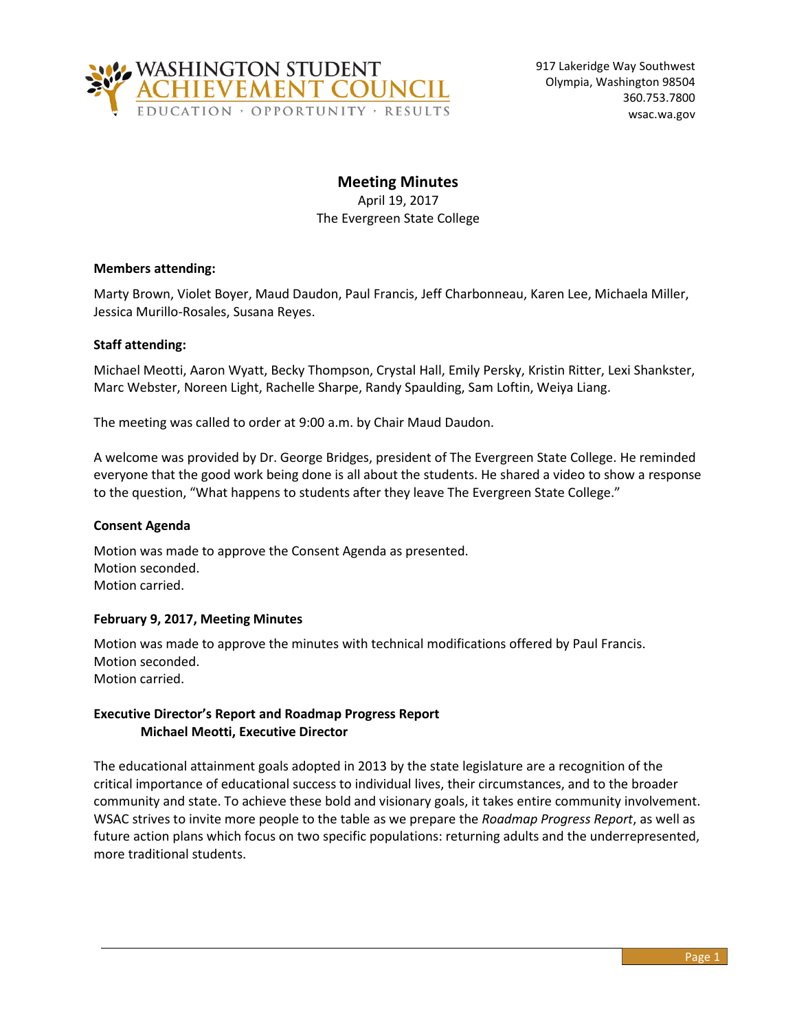

# **Meeting Minutes**

April 19, 2017 The Evergreen State College

# **Members attending:**

Marty Brown, Violet Boyer, Maud Daudon, Paul Francis, Jeff Charbonneau, Karen Lee, Michaela Miller, Jessica Murillo-Rosales, Susana Reyes.

# **Staff attending:**

Michael Meotti, Aaron Wyatt, Becky Thompson, Crystal Hall, Emily Persky, Kristin Ritter, Lexi Shankster, Marc Webster, Noreen Light, Rachelle Sharpe, Randy Spaulding, Sam Loftin, Weiya Liang.

The meeting was called to order at 9:00 a.m. by Chair Maud Daudon.

A welcome was provided by Dr. George Bridges, president of The Evergreen State College. He reminded everyone that the good work being done is all about the students. He shared a video to show a response to the question, "What happens to students after they leave The Evergreen State College."

# **Consent Agenda**

Motion was made to approve the Consent Agenda as presented. Motion seconded. Motion carried.

# **February 9, 2017, Meeting Minutes**

Motion was made to approve the minutes with technical modifications offered by Paul Francis. Motion seconded. Motion carried.

# **Executive Director's Report and Roadmap Progress Report Michael Meotti, Executive Director**

The educational attainment goals adopted in 2013 by the state legislature are a recognition of the critical importance of educational success to individual lives, their circumstances, and to the broader community and state. To achieve these bold and visionary goals, it takes entire community involvement. WSAC strives to invite more people to the table as we prepare the *Roadmap Progress Report*, as well as future action plans which focus on two specific populations: returning adults and the underrepresented, more traditional students.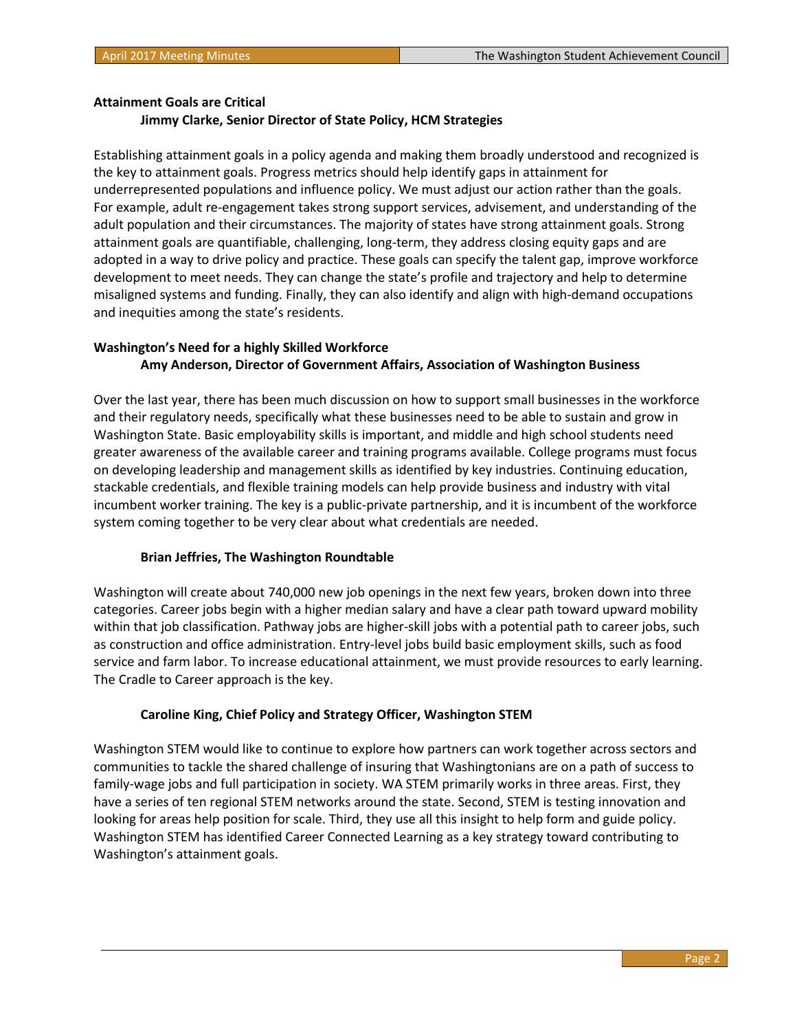#### **Attainment Goals are Critical**

#### **Jimmy Clarke, Senior Director of State Policy, HCM Strategies**

Establishing attainment goals in a policy agenda and making them broadly understood and recognized is the key to attainment goals. Progress metrics should help identify gaps in attainment for underrepresented populations and influence policy. We must adjust our action rather than the goals. For example, adult re-engagement takes strong support services, advisement, and understanding of the adult population and their circumstances. The majority of states have strong attainment goals. Strong attainment goals are quantifiable, challenging, long-term, they address closing equity gaps and are adopted in a way to drive policy and practice. These goals can specify the talent gap, improve workforce development to meet needs. They can change the state's profile and trajectory and help to determine misaligned systems and funding. Finally, they can also identify and align with high-demand occupations and inequities among the state's residents.

# **Washington's Need for a highly Skilled Workforce Amy Anderson, Director of Government Affairs, Association of Washington Business**

Over the last year, there has been much discussion on how to support small businesses in the workforce and their regulatory needs, specifically what these businesses need to be able to sustain and grow in Washington State. Basic employability skills is important, and middle and high school students need greater awareness of the available career and training programs available. College programs must focus on developing leadership and management skills as identified by key industries. Continuing education, stackable credentials, and flexible training models can help provide business and industry with vital incumbent worker training. The key is a public-private partnership, and it is incumbent of the workforce system coming together to be very clear about what credentials are needed.

#### **Brian Jeffries, The Washington Roundtable**

Washington will create about 740,000 new job openings in the next few years, broken down into three categories. Career jobs begin with a higher median salary and have a clear path toward upward mobility within that job classification. Pathway jobs are higher-skill jobs with a potential path to career jobs, such as construction and office administration. Entry-level jobs build basic employment skills, such as food service and farm labor. To increase educational attainment, we must provide resources to early learning. The Cradle to Career approach is the key.

#### **Caroline King, Chief Policy and Strategy Officer, Washington STEM**

Washington STEM would like to continue to explore how partners can work together across sectors and communities to tackle the shared challenge of insuring that Washingtonians are on a path of success to family-wage jobs and full participation in society. WA STEM primarily works in three areas. First, they have a series of ten regional STEM networks around the state. Second, STEM is testing innovation and looking for areas help position for scale. Third, they use all this insight to help form and guide policy. Washington STEM has identified Career Connected Learning as a key strategy toward contributing to Washington's attainment goals.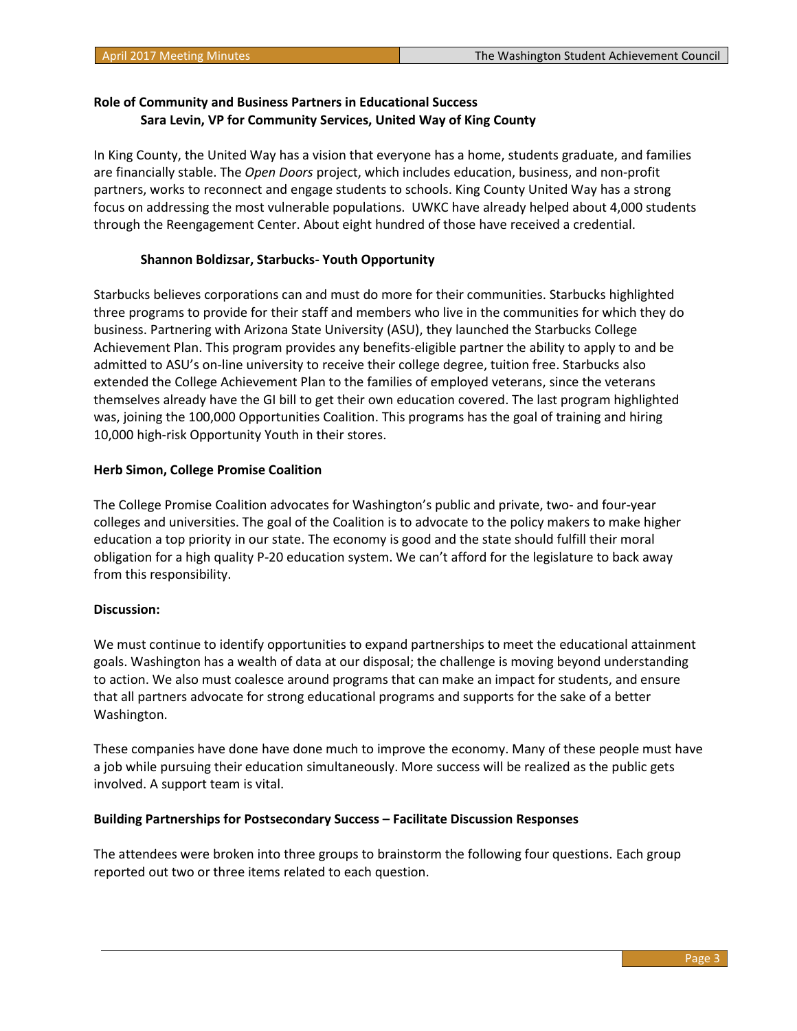# **Role of Community and Business Partners in Educational Success Sara Levin, VP for Community Services, United Way of King County**

In King County, the United Way has a vision that everyone has a home, students graduate, and families are financially stable. The *Open Doors* project, which includes education, business, and non-profit partners, works to reconnect and engage students to schools. King County United Way has a strong focus on addressing the most vulnerable populations. UWKC have already helped about 4,000 students through the Reengagement Center. About eight hundred of those have received a credential.

# **Shannon Boldizsar, Starbucks- Youth Opportunity**

Starbucks believes corporations can and must do more for their communities. Starbucks highlighted three programs to provide for their staff and members who live in the communities for which they do business. Partnering with Arizona State University (ASU), they launched the Starbucks College Achievement Plan. This program provides any benefits-eligible partner the ability to apply to and be admitted to ASU's on-line university to receive their college degree, tuition free. Starbucks also extended the College Achievement Plan to the families of employed veterans, since the veterans themselves already have the GI bill to get their own education covered. The last program highlighted was, joining the 100,000 Opportunities Coalition. This programs has the goal of training and hiring 10,000 high-risk Opportunity Youth in their stores.

# **Herb Simon, College Promise Coalition**

The College Promise Coalition advocates for Washington's public and private, two- and four-year colleges and universities. The goal of the Coalition is to advocate to the policy makers to make higher education a top priority in our state. The economy is good and the state should fulfill their moral obligation for a high quality P-20 education system. We can't afford for the legislature to back away from this responsibility.

# **Discussion:**

We must continue to identify opportunities to expand partnerships to meet the educational attainment goals. Washington has a wealth of data at our disposal; the challenge is moving beyond understanding to action. We also must coalesce around programs that can make an impact for students, and ensure that all partners advocate for strong educational programs and supports for the sake of a better Washington.

These companies have done have done much to improve the economy. Many of these people must have a job while pursuing their education simultaneously. More success will be realized as the public gets involved. A support team is vital.

# **Building Partnerships for Postsecondary Success – Facilitate Discussion Responses**

The attendees were broken into three groups to brainstorm the following four questions. Each group reported out two or three items related to each question.